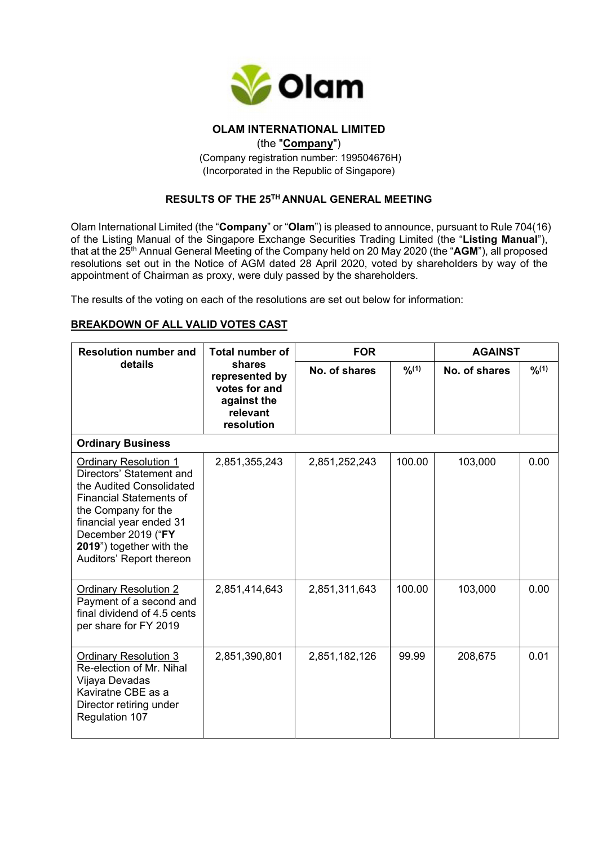

# **OLAM INTERNATIONAL LIMITED**

(the "**Company**")

(Company registration number: 199504676H) (Incorporated in the Republic of Singapore)

# **RESULTS OF THE 25TH ANNUAL GENERAL MEETING**

Olam International Limited (the "**Company**" or "**Olam**") is pleased to announce, pursuant to Rule 704(16) of the Listing Manual of the Singapore Exchange Securities Trading Limited (the "**Listing Manual**"), that at the 25th Annual General Meeting of the Company held on 20 May 2020 (the "**AGM**"), all proposed resolutions set out in the Notice of AGM dated 28 April 2020, voted by shareholders by way of the appointment of Chairman as proxy, were duly passed by the shareholders.

The results of the voting on each of the resolutions are set out below for information:

## **BREAKDOWN OF ALL VALID VOTES CAST**

| <b>Resolution number and</b><br>details                                                                                                                                                                                                                | <b>Total number of</b><br>shares<br>represented by<br>votes for and<br>against the<br>relevant<br>resolution | <b>FOR</b>    |        | <b>AGAINST</b> |        |  |  |
|--------------------------------------------------------------------------------------------------------------------------------------------------------------------------------------------------------------------------------------------------------|--------------------------------------------------------------------------------------------------------------|---------------|--------|----------------|--------|--|--|
|                                                                                                                                                                                                                                                        |                                                                                                              | No. of shares | 9/6(1) | No. of shares  | 9/6(1) |  |  |
| <b>Ordinary Business</b>                                                                                                                                                                                                                               |                                                                                                              |               |        |                |        |  |  |
| <b>Ordinary Resolution 1</b><br>Directors' Statement and<br>the Audited Consolidated<br><b>Financial Statements of</b><br>the Company for the<br>financial year ended 31<br>December 2019 ("FY<br>2019") together with the<br>Auditors' Report thereon | 2,851,355,243                                                                                                | 2,851,252,243 | 100.00 | 103,000        | 0.00   |  |  |
| <b>Ordinary Resolution 2</b><br>Payment of a second and<br>final dividend of 4.5 cents<br>per share for FY 2019                                                                                                                                        | 2,851,414,643                                                                                                | 2,851,311,643 | 100.00 | 103,000        | 0.00   |  |  |
| <b>Ordinary Resolution 3</b><br>Re-election of Mr. Nihal<br>Vijaya Devadas<br>Kaviratne CBE as a<br>Director retiring under<br>Regulation 107                                                                                                          | 2,851,390,801                                                                                                | 2,851,182,126 | 99.99  | 208,675        | 0.01   |  |  |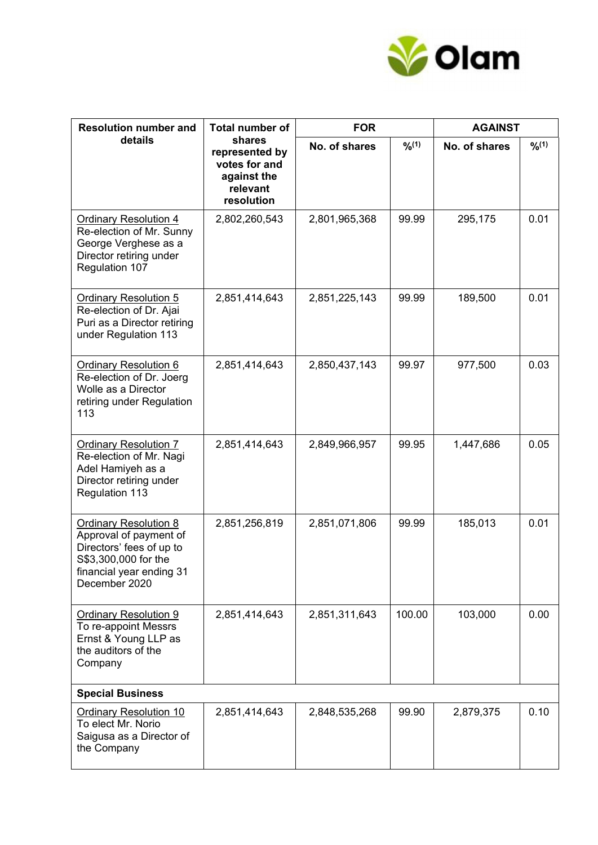

| <b>Resolution number and</b><br>details                                                                                                          | <b>Total number of</b><br>shares<br>represented by<br>votes for and<br>against the<br>relevant<br>resolution | <b>FOR</b>    |        | <b>AGAINST</b> |        |  |
|--------------------------------------------------------------------------------------------------------------------------------------------------|--------------------------------------------------------------------------------------------------------------|---------------|--------|----------------|--------|--|
|                                                                                                                                                  |                                                                                                              | No. of shares | 9/6(1) | No. of shares  | 9/6(1) |  |
| <b>Ordinary Resolution 4</b><br>Re-election of Mr. Sunny<br>George Verghese as a<br>Director retiring under<br>Regulation 107                    | 2,802,260,543                                                                                                | 2,801,965,368 | 99.99  | 295,175        | 0.01   |  |
| <b>Ordinary Resolution 5</b><br>Re-election of Dr. Ajai<br>Puri as a Director retiring<br>under Regulation 113                                   | 2,851,414,643                                                                                                | 2,851,225,143 | 99.99  | 189,500        | 0.01   |  |
| <b>Ordinary Resolution 6</b><br>Re-election of Dr. Joerg<br>Wolle as a Director<br>retiring under Regulation<br>113                              | 2,851,414,643                                                                                                | 2,850,437,143 | 99.97  | 977,500        | 0.03   |  |
| <b>Ordinary Resolution 7</b><br>Re-election of Mr. Nagi<br>Adel Hamiyeh as a<br>Director retiring under<br>Regulation 113                        | 2,851,414,643                                                                                                | 2,849,966,957 | 99.95  | 1,447,686      | 0.05   |  |
| Ordinary Resolution 8<br>Approval of payment of<br>Directors' fees of up to<br>S\$3,300,000 for the<br>financial year ending 31<br>December 2020 | 2,851,256,819                                                                                                | 2,851,071,806 | 99.99  | 185,013        | 0.01   |  |
| <b>Ordinary Resolution 9</b><br>To re-appoint Messrs<br>Ernst & Young LLP as<br>the auditors of the<br>Company                                   | 2,851,414,643                                                                                                | 2,851,311,643 | 100.00 | 103,000        | 0.00   |  |
| <b>Special Business</b>                                                                                                                          |                                                                                                              |               |        |                |        |  |
| <b>Ordinary Resolution 10</b><br>To elect Mr. Norio<br>Saigusa as a Director of<br>the Company                                                   | 2,851,414,643                                                                                                | 2,848,535,268 | 99.90  | 2,879,375      | 0.10   |  |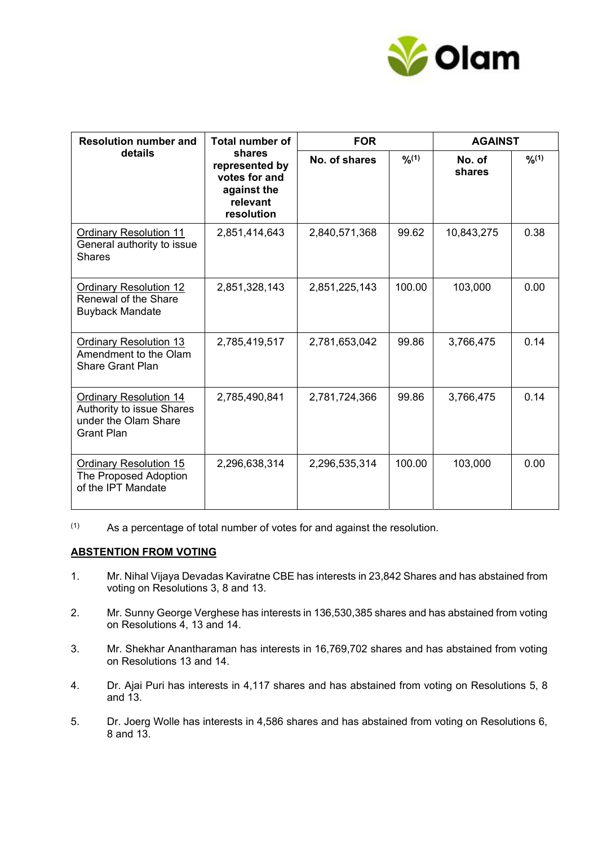

| <b>Resolution number and</b><br>details                                                                 | <b>Total number of</b><br>shares<br>represented by<br>votes for and<br>against the<br>relevant<br>resolution | <b>FOR</b>    |        | <b>AGAINST</b>   |      |
|---------------------------------------------------------------------------------------------------------|--------------------------------------------------------------------------------------------------------------|---------------|--------|------------------|------|
|                                                                                                         |                                                                                                              | No. of shares | 9/6(1) | No. of<br>shares | 9/10 |
| <b>Ordinary Resolution 11</b><br>General authority to issue<br><b>Shares</b>                            | 2,851,414,643                                                                                                | 2,840,571,368 | 99.62  | 10,843,275       | 0.38 |
| <b>Ordinary Resolution 12</b><br>Renewal of the Share<br><b>Buyback Mandate</b>                         | 2,851,328,143                                                                                                | 2,851,225,143 | 100.00 | 103,000          | 0.00 |
| <b>Ordinary Resolution 13</b><br>Amendment to the Olam<br><b>Share Grant Plan</b>                       | 2,785,419,517                                                                                                | 2,781,653,042 | 99.86  | 3,766,475        | 0.14 |
| <b>Ordinary Resolution 14</b><br>Authority to issue Shares<br>under the Olam Share<br><b>Grant Plan</b> | 2,785,490,841                                                                                                | 2,781,724,366 | 99.86  | 3,766,475        | 0.14 |
| <b>Ordinary Resolution 15</b><br>The Proposed Adoption<br>of the IPT Mandate                            | 2,296,638,314                                                                                                | 2,296,535,314 | 100.00 | 103,000          | 0.00 |

 $(1)$  As a percentage of total number of votes for and against the resolution.

#### **ABSTENTION FROM VOTING**

- 1. Mr. Nihal Vijaya Devadas Kaviratne CBE has interests in 23,842 Shares and has abstained from voting on Resolutions 3, 8 and 13.
- 2. Mr. Sunny George Verghese has interests in 136,530,385 shares and has abstained from voting on Resolutions 4, 13 and 14.
- 3. Mr. Shekhar Anantharaman has interests in 16,769,702 shares and has abstained from voting on Resolutions 13 and 14.
- 4. Dr. Ajai Puri has interests in 4,117 shares and has abstained from voting on Resolutions 5, 8 and 13.
- 5. Dr. Joerg Wolle has interests in 4,586 shares and has abstained from voting on Resolutions 6, 8 and 13.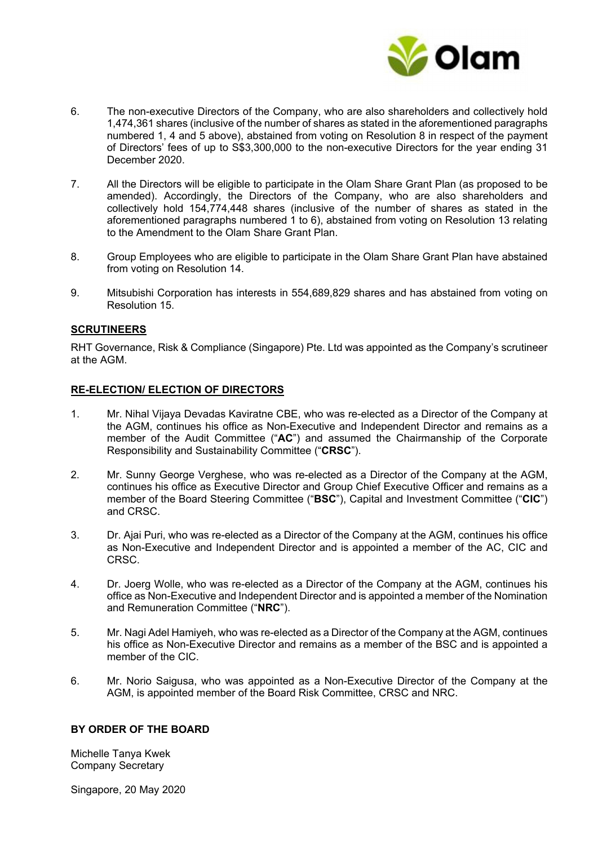

- 6. The non-executive Directors of the Company, who are also shareholders and collectively hold 1,474,361 shares (inclusive of the number of shares as stated in the aforementioned paragraphs numbered 1, 4 and 5 above), abstained from voting on Resolution 8 in respect of the payment of Directors' fees of up to S\$3,300,000 to the non-executive Directors for the year ending 31 December 2020.
- 7. All the Directors will be eligible to participate in the Olam Share Grant Plan (as proposed to be amended). Accordingly, the Directors of the Company, who are also shareholders and collectively hold 154,774,448 shares (inclusive of the number of shares as stated in the aforementioned paragraphs numbered 1 to 6), abstained from voting on Resolution 13 relating to the Amendment to the Olam Share Grant Plan.
- 8. Group Employees who are eligible to participate in the Olam Share Grant Plan have abstained from voting on Resolution 14.
- 9. Mitsubishi Corporation has interests in 554,689,829 shares and has abstained from voting on Resolution 15.

## **SCRUTINEERS**

RHT Governance, Risk & Compliance (Singapore) Pte. Ltd was appointed as the Company's scrutineer at the AGM.

#### **RE-ELECTION/ ELECTION OF DIRECTORS**

- 1. Mr. Nihal Vijaya Devadas Kaviratne CBE, who was re-elected as a Director of the Company at the AGM, continues his office as Non-Executive and Independent Director and remains as a member of the Audit Committee ("**AC**") and assumed the Chairmanship of the Corporate Responsibility and Sustainability Committee ("**CRSC**").
- 2. Mr. Sunny George Verghese, who was re-elected as a Director of the Company at the AGM, continues his office as Executive Director and Group Chief Executive Officer and remains as a member of the Board Steering Committee ("**BSC**"), Capital and Investment Committee ("**CIC**") and CRSC.
- 3. Dr. Ajai Puri, who was re-elected as a Director of the Company at the AGM, continues his office as Non-Executive and Independent Director and is appointed a member of the AC, CIC and CRSC.
- 4. Dr. Joerg Wolle, who was re-elected as a Director of the Company at the AGM, continues his office as Non-Executive and Independent Director and is appointed a member of the Nomination and Remuneration Committee ("**NRC**").
- 5. Mr. Nagi Adel Hamiyeh, who was re-elected as a Director of the Company at the AGM, continues his office as Non-Executive Director and remains as a member of the BSC and is appointed a member of the CIC.
- 6. Mr. Norio Saigusa, who was appointed as a Non-Executive Director of the Company at the AGM, is appointed member of the Board Risk Committee, CRSC and NRC.

### **BY ORDER OF THE BOARD**

Michelle Tanya Kwek Company Secretary

Singapore, 20 May 2020